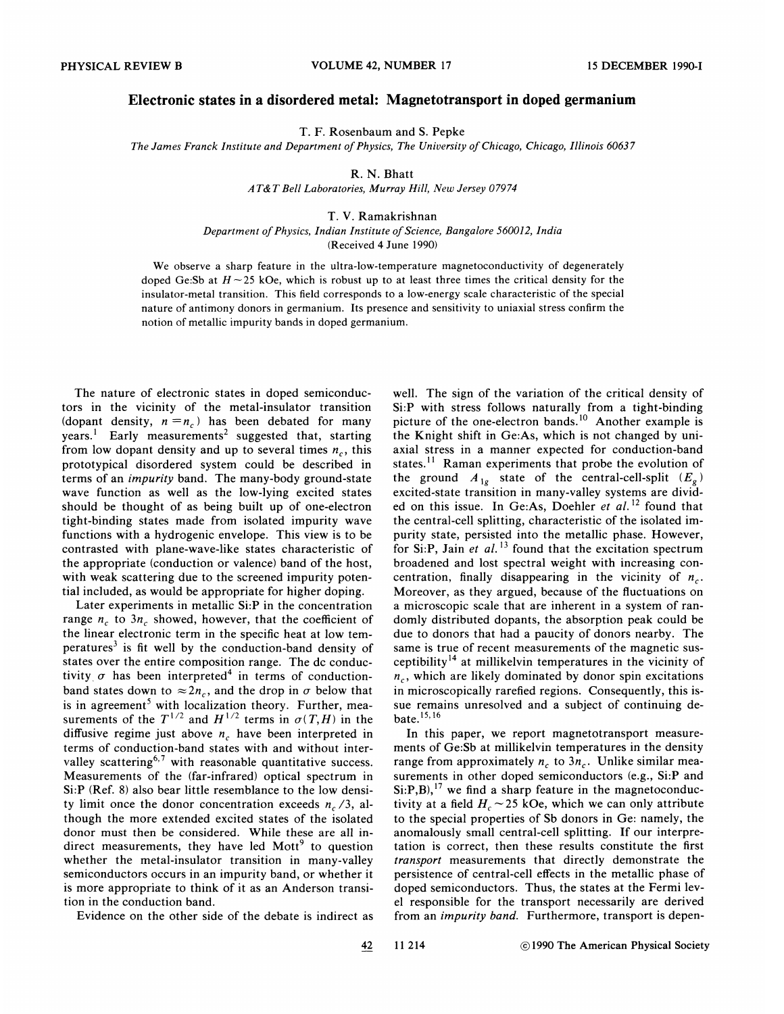## Electronic states in a disordered metal: Magnetotransport in doped germanium

T. F. Rosenbaum and S. Pepke

The James Franck Institute and Department of Physics, The Uniuersity of Chicago, Chicago, Illinois 60637

R. N. Bhatt

AT&T Bell Laboratories, Murray Hill, New Jersey 07974

T. V. Ramakrishnan

Department of Physics, Indian Institute of Science, Bangalore 560012, India

(Received 4 June 1990)

We observe a sharp feature in the ultra-low-temperature magnetoconductivity of degenerately doped Ge:Sb at  $H \sim 25$  kOe, which is robust up to at least three times the critical density for the insulator-metal transition. This field corresponds to a low-energy scale characteristic of the special nature of antimony donors in germanium. Its presence and sensitivity to uniaxial stress confirm the notion of metallic impurity bands in doped germanium.

The nature of electronic states in doped semiconductors in the vicinity of the metal-insulator transition (dopant density,  $n = n_c$ ) has been debated for many years.<sup>1</sup> Early measurements<sup>2</sup> suggested that, starting from low dopant density and up to several times  $n_c$ , this prototypical disordered system could be described in terms of an impurity band. The many-body ground-state wave function as well as the low-lying excited states should be thought of as being built up of one-electron tight-binding states made from isolated impurity wave functions with a hydrogenic envelope. This view is to be contrasted with plane-wave-like states characteristic of the appropriate (conduction or valence) band of the host, with weak scattering due to the screened impurity potential included, as would be appropriate for higher doping.

Later experiments in metallic Si:P in the concentration range  $n_c$  to  $3n_c$  showed, however, that the coefficient of the linear electronic term in the specific heat at low temperatures<sup>3</sup> is fit well by the conduction-band density of states over the entire composition range. The dc conductivity  $\sigma$  has been interpreted<sup>4</sup> in terms of conductionband states down to  $\approx 2n_c$ , and the drop in  $\sigma$  below that is in agreement<sup>5</sup> with localization theory. Further, measurements of the  $T^{1/2}$  and  $H^{1/2}$  terms in  $\sigma(T,H)$  in the diffusive regime just above  $n_c$  have been interpreted in terms of conduction-band states with and without intervalley scattering<sup>6,7</sup> with reasonable quantitative success. Measurements of the (far-infrared) optical spectrum in Si:P (Ref. 8) also bear little resemblance to the low density limit once the donor concentration exceeds  $n_c/3$ , although the more extended excited states of the isolated donor must then be considered. While these are all indirect measurements, they have led  $Mott<sup>9</sup>$  to question whether the metal-insulator transition in many-valley semiconductors occurs in an impurity band, or whether it is more appropriate to think of it as an Anderson transition in the conduction band.

Evidence on the other side of the debate is indirect as

well. The sign of the variation of the critical density of Si:P with stress follows naturally from a tight-binding picture of the one-electron bands.<sup>10</sup> Another example is the Knight shift in Ge:As, which is not changed by uniaxial stress in a manner expected for conduction-band axial stress in a manner expected for conduction-band<br>states.<sup>11</sup> Raman experiments that probe the evolution of the ground  $A_{1g}$  state of the central-cell-split  $(E_g)$ excited-state transition in many-valley systems are divided on this issue. In Ge:As, Doehler et  $al$ .<sup>12</sup> found that the central-cell splitting, characteristic of the isolated impurity state, persisted into the metallic phase. However, for Si:P, Jain et al.<sup>13</sup> found that the excitation spectrum broadened and lost spectral weight with increasing concentration, finally disappearing in the vicinity of  $n_c$ . Moreover, as they argued, because of the fluctuations on a microscopic scale that are inherent in a system of randomly distributed dopants, the absorption peak could be due to donors that had a paucity of donors nearby. The same is true of recent measurements of the magnetic susceptibility<sup>14</sup> at millikelvin temperatures in the vicinity of  $n_c$ , which are likely dominated by donor spin excitations in microscopically rarefied regions. Consequently, this issue remains unresolved and a subject of continuing de-<br>bate.<sup>15,16</sup>

In this paper, we report magnetotransport measurements of Ge:Sb at millikelvin temperatures in the density range from approximately  $n_c$  to  $3n_c$ . Unlike similar measurements in other doped semiconductors (e.g., Si:P and  $Si: P, B$ ,  $^{17}$  we find a sharp feature in the magnetoconductivity at a field  $H_c \sim 25$  kOe, which we can only attribute to the special properties of Sb donors in Ge: namely, the anomalously small central-cell splitting. If our interpretation is correct, then these results constitute the first transport measurements that directly demonstrate the persistence of central-cell effects in the metallic phase of doped semiconductors. Thus, the states at the Fermi level responsible for the transport necessarily are derived from an *impurity band*. Furthermore, transport is depen-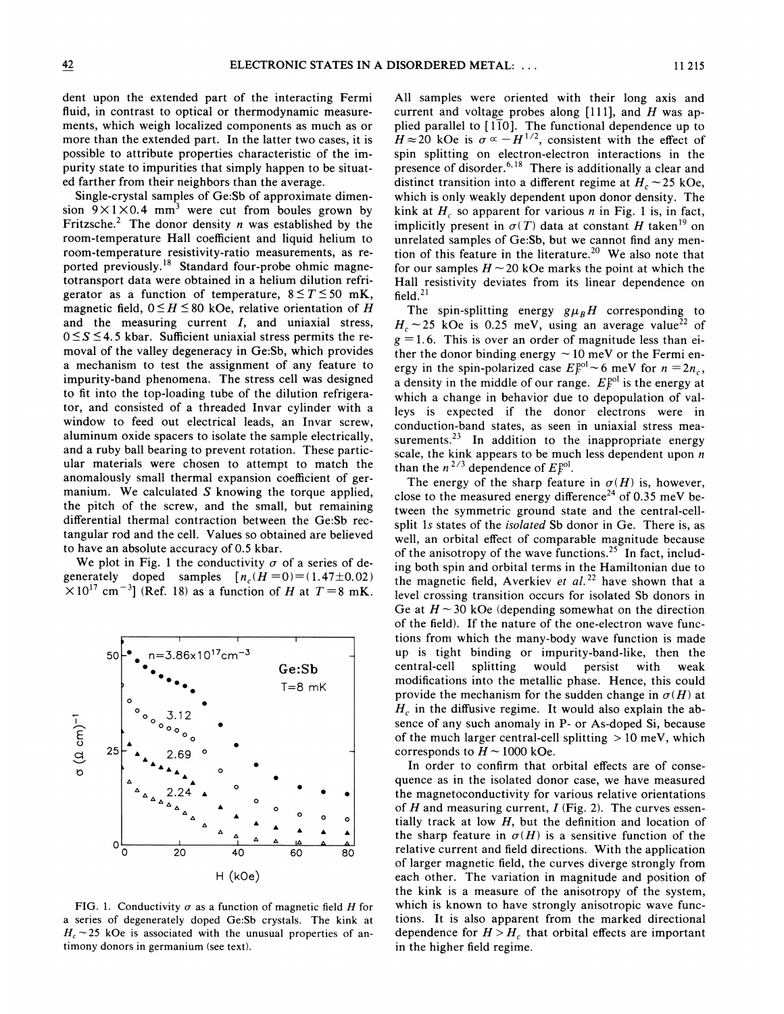dent upon the extended part of the interacting Fermi fluid, in contrast to optical or thermodynamic measurements, which weigh localized components as much as or more than the extended part. In the latter two cases, it is possible to attribute properties characteristic of the impurity state to impurities that simply happen to be situated farther from their neighbors than the average.

Single-crystal samples of Ge:Sb of approximate dimension  $9 \times 1 \times 0.4$  mm<sup>3</sup> were cut from boules grown by Fritzsche.<sup>2</sup> The donor density *n* was established by the room-temperature Hall coefficient and liquid helium to room-temperature resistivity-ratio measurements, as reported previously.<sup>18</sup> Standard four-probe ohmic magnetotransport data were obtained in a helium dilution refrigerator as a function of temperature,  $8 \le T \le 50$  mK, magnetic field,  $0 \le H \le 80$  kOe, relative orientation of H and the measuring current I, and uniaxial stress,  $0 \leq S \leq 4.5$  kbar. Sufficient uniaxial stress permits the removal of the valley degeneracy in Ge:Sb, which provides a mechanism to test the assignment of any feature to impurity-band phenomena. The stress cell was designed to fit into the top-loading tube of the dilution refrigerator, and consisted of a threaded Invar cylinder with a window to feed out electrical leads, an Invar screw, aluminum oxide spacers to isolate the sample electrically, and a ruby ball bearing to prevent rotation. These particular materials were chosen to attempt to match the anomalously small thermal expansion coefficient of germanium. We calculated S knowing the torque applied, the pitch of the screw, and the small, but remaining differential thermal contraction between the Ge:Sb rectangular rod and the cell. Values so obtained are believed to have an absolute accuracy of 0.5 kbar.

We plot in Fig. 1 the conductivity  $\sigma$  of a series of degenerately doped samples  $[n_c (H = 0) = (1.47 \pm 0.02)$  $\times 10^{17}$  cm<sup>-3</sup>] (Ref. 18) as a function of H at T = 8 mK.



FIG. 1. Conductivity  $\sigma$  as a function of magnetic field H for a series of degenerately doped Ge:Sb crystals. The kink at  $H_c \sim 25$  kOe is associated with the unusual properties of antimony donors in germanium (see text).

All samples were oriented with their long axis and current and voltage probes along [111], and  $H$  was applied parallel to  $[1\bar{1}0]$ . The functional dependence up to  $H \approx 20$  kOe is  $\sigma \propto -H^{1/2}$ , consistent with the effect of spin splitting on electron-electron interactions in the 'presence of disorder.<sup>6,18</sup> There is additionally a clear and distinct transition into a different regime at  $H_c \sim 25$  kOe, which is only weakly dependent upon donor density. The kink at  $H_c$  so apparent for various n in Fig. 1 is, in fact, implicitly present in  $\sigma(T)$  data at constant H taken<sup>19</sup> on unrelated samples of Ge:Sb, but we cannot find any mention of this feature in the literature.<sup>20</sup> We also note that for our samples  $H \sim 20$  kOe marks the point at which the Hall resistivity deviates from its linear dependence on field. $21$ 

The spin-splitting energy  $g\mu_B H$  corresponding to  $H_c \sim 25$  kOe is 0.25 meV, using an average value<sup>22</sup> of  $g = 1.6$ . This is over an order of magnitude less than either the donor binding energy  $\sim$  10 meV or the Fermi energy in the spin-polarized case  $E_{\rm F}^{\rm pol} \sim 6$  meV for  $n = 2n_c$ , a density in the middle of our range.  $E_F^{\text{pol}}$  is the energy at which a change in behavior due to depopulation of valleys is expected if the donor electrons were in conduction-band states, as seen in uniaxial stress measurements.<sup>23</sup> In addition to the inappropriate energy scale, the kink appears to be much less dependent upon n than the  $n^{2/3}$  dependence of  $E_{\rm F}^{\rm pol}$ .

The energy of the sharp feature in  $\sigma(H)$  is, however, close to the measured energy difference<sup>24</sup> of 0.35 meV between the symmetric ground state and the central-cellsplit 1s states of the *isolated* Sb donor in Ge. There is, as well, an orbital effect of comparable magnitude because of the anisotropy of the wave functions.<sup>25</sup> In fact, including both spin and orbital terms in the Hamiltonian due to the magnetic field, Averkiev et  $al$ .<sup>22</sup> have shown that a level crossing transition occurs for isolated Sb donors in Ge at  $H \sim 30$  kOe (depending somewhat on the direction of the field). If the nature of the one-electron wave functions from which the many-body wave function is made up is tight binding or impurity-band-like, then the central-cell splitting would persist with weak modifications into the metallic phase. Hence, this could provide the mechanism for the sudden change in  $\sigma(H)$  at  $H_c$  in the diffusive regime. It would also explain the absence of any such anomaly in P- or As-doped Si, because of the much larger central-cell splitting  $> 10$  meV, which corresponds to  $H \sim 1000$  kOe.

In order to confirm that orbital effects are of consequence as in the isolated donor case, we have measured the magnetoconductivity for various relative orientations of H and measuring current,  $I$  (Fig. 2). The curves essentially track at low  $H$ , but the definition and location of the sharp feature in  $\sigma(H)$  is a sensitive function of the relative current and field directions. With the application of larger magnetic field, the curves diverge strongly from each other. The variation in magnitude and position of the kink is a measure of the anisotropy of the system, which is known to have strongly anisotropic wave functions. It is also apparent from the marked directional dependence for  $H > H_c$ , that orbital effects are important in the higher field regime.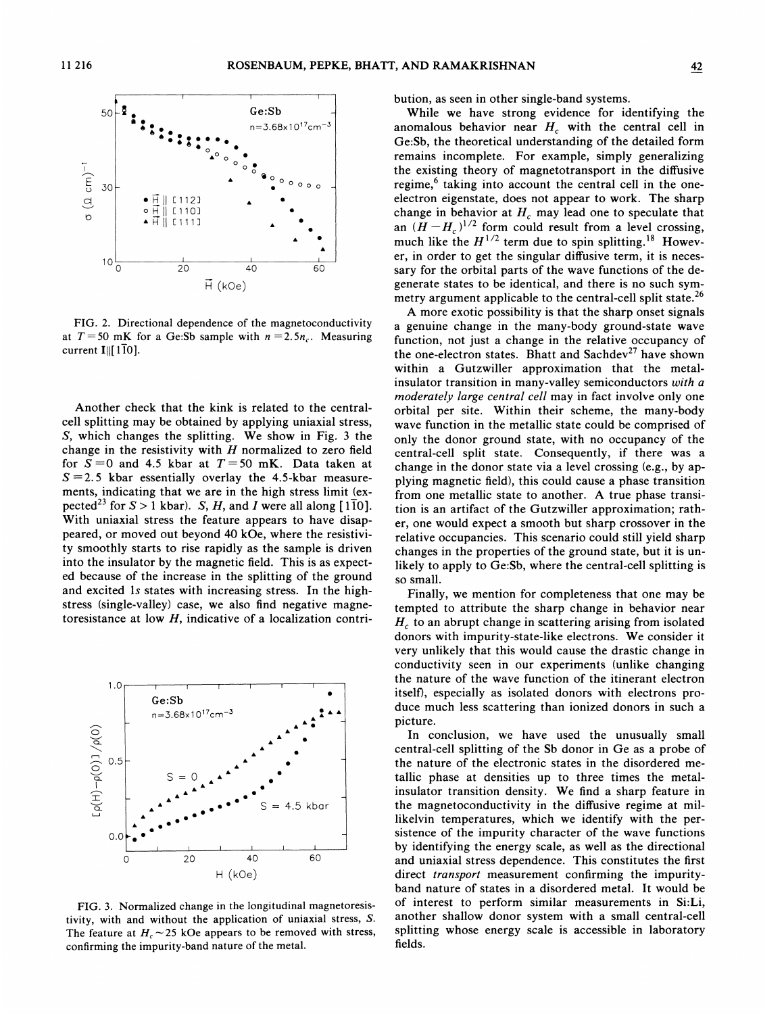

FIG. 2. Directional dependence of the magnetoconductivity at  $T=50$  mK for a Ge:Sb sample with  $n = 2.5n_c$ . Measuring current  $\mathbf{I} \parallel [1\overline{1}0]$ .

Another check that the kink is related to the centralcell splitting may be obtained by applying uniaxial stress, S, which changes the splitting. We show in Fig. 3 the change in the resistivity with  $H$  normalized to zero field for  $S=0$  and 4.5 kbar at  $T=50$  mK. Data taken at  $S=2.5$  kbar essentially overlay the 4.5-kbar measurements, indicating that we are in the high stress limit (exments, indicating that we are in the high stress limit (expected<sup>23</sup> for  $S > 1$  kbar). S, H, and I were all along [110]. With uniaxial stress the feature appears to have disappeared, or moved out beyond 40 kOe, where the resistivity smoothly starts to rise rapidly as the sample is driven into the insulator by the magnetic field. This is as expected because of the increase in the splitting of the ground and excited 1s states with increasing stress. In the highstress (single-valley) case, we also find negative magnetoresistance at low  $H$ , indicative of a localization contri-



FIG. 3. Normalized change in the longitudinal magnetoresistivity, with and without the application of uniaxial stress, S. The feature at  $H_c \sim 25$  kOe appears to be removed with stress, confirming the impurity-band nature of the metal.

bution, as seen in other single-band systems.

While we have strong evidence for identifying the anomalous behavior near  $H_c$  with the central cell in Ge:Sb, the theoretical understanding of the detailed form remains incomplete. For example, simply generalizing the existing theory of magnetotransport in the diffusive regime,<sup>6</sup> taking into account the central cell in the oneelectron eigenstate, does not appear to work. The sharp change in behavior at  $H_c$  may lead one to speculate that an  $(H - H_c)^{1/2}$  form could result from a level crossing, much like the  $H^{1/2}$  term due to spin splitting.<sup>18</sup> However, in order to get the singular diffusive term, it is necessary for the orbital parts of the wave functions of the degenerate states to be identical, and there is no such symmetry argument applicable to the central-cell split state.<sup>26</sup>

A more exotic possibility is that the sharp onset signals a genuine change in the many-body ground-state wave function, not just a change in the relative occupancy of the one-electron states. Bhatt and Sachdev<sup>27</sup> have shown within a Gutzwiller approximation that the metalinsulator transition in many-valley semiconductors with a moderately large central cell may in fact involve only one orbital per site. Within their scheme, the many-body wave function in the metallic state could be comprised of only the donor ground state, with no occupancy of the central-cell split state. Consequently, if there was a change in the donor state via a level crossing (e.g., by applying magnetic field), this could cause a phase transition from one metallic state to another. A true phase transition is an artifact of the Gutzwiller approximation; rather, one would expect a smooth but sharp crossover in the relative occupancies. This scenario could still yield sharp changes in the properties of the ground state, but it is unlikely to apply to Ge:Sb, where the central-cell splitting is so small.

Finally, we mention for completeness that one may be tempted to attribute the sharp change in behavior near  $H<sub>c</sub>$  to an abrupt change in scattering arising from isolated donors with impurity-state-like electrons. We consider it very unlikely that this would cause the drastic change in conductivity seen in our experiments (unlike changing the nature of the wave function of the itinerant electron itself), especially as isolated donors with electrons produce muck less scattering than ionized donors in such a picture.

In conclusion, we have used the unusually small central-cell splitting of the Sb donor in Ge as a probe of the nature of the electronic states in the disordered metallic phase at densities up to three times the metalinsulator transition density. We find a sharp feature in the magnetoconductivity in the diffusive regime at millikelvin temperatures, which we identify with the persistence of the impurity character of the wave functions by identifying the energy scale, as well as the directional and uniaxial stress dependence. This constitutes the first direct transport measurement confirming the impurityband nature of states in a disordered metal. It would be of interest to perform similar measurements in Si:Li, another shallow donor system with a small central-cell splitting whose energy scale is accessible in laboratory fields.